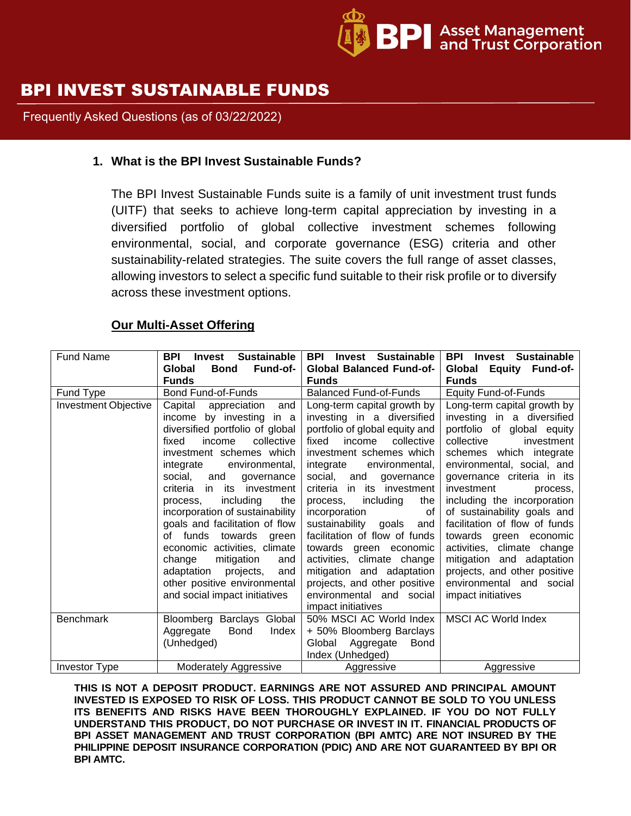

# BPI INVEST SUSTAINABLE FUNDS

Frequently Asked Questions (as of 03/22/2022)

#### **1. What is the BPI Invest Sustainable Funds?**

The BPI Invest Sustainable Funds suite is a family of unit investment trust funds (UITF) that seeks to achieve long-term capital appreciation by investing in a diversified portfolio of global collective investment schemes following environmental, social, and corporate governance (ESG) criteria and other sustainability-related strategies. The suite covers the full range of asset classes, allowing investors to select a specific fund suitable to their risk profile or to diversify across these investment options.

#### **Our Multi-Asset Offering**

| Fund Name                   | <b>Sustainable</b><br><b>BPI</b><br><b>Invest</b><br>Fund-of-<br>Global<br><b>Bond</b>                                                                                                                                                                                                                                                                                                                                                                | <b>Sustainable</b><br><b>BPI</b><br>Invest<br><b>Global Balanced Fund-of-</b>                                                                                                                                                                                                                                                                                                                                                     | <b>Sustainable</b><br><b>BPI</b><br>Invest<br>Global Equity Fund-of-                                                                                                                                                                                                                                                                                                                                                     |
|-----------------------------|-------------------------------------------------------------------------------------------------------------------------------------------------------------------------------------------------------------------------------------------------------------------------------------------------------------------------------------------------------------------------------------------------------------------------------------------------------|-----------------------------------------------------------------------------------------------------------------------------------------------------------------------------------------------------------------------------------------------------------------------------------------------------------------------------------------------------------------------------------------------------------------------------------|--------------------------------------------------------------------------------------------------------------------------------------------------------------------------------------------------------------------------------------------------------------------------------------------------------------------------------------------------------------------------------------------------------------------------|
|                             | <b>Funds</b>                                                                                                                                                                                                                                                                                                                                                                                                                                          | <b>Funds</b>                                                                                                                                                                                                                                                                                                                                                                                                                      | <b>Funds</b>                                                                                                                                                                                                                                                                                                                                                                                                             |
| Fund Type                   | Bond Fund-of-Funds                                                                                                                                                                                                                                                                                                                                                                                                                                    | <b>Balanced Fund-of-Funds</b>                                                                                                                                                                                                                                                                                                                                                                                                     | <b>Equity Fund-of-Funds</b>                                                                                                                                                                                                                                                                                                                                                                                              |
| <b>Investment Objective</b> | Capital<br>and<br>appreciation<br>income by investing in a<br>diversified portfolio of global<br>income<br>collective<br>fixed<br>investment schemes which<br>integrate<br>environmental.<br>social, and<br>qovernance<br>in its investment<br>criteria<br>including<br>the<br>process,<br>incorporation of sustainability<br>goals and facilitation of flow<br>of funds towards green<br>economic activities, climate<br>change<br>mitigation<br>and | Long-term capital growth by<br>investing in a diversified<br>portfolio of global equity and<br>income<br>collective<br>fixed<br>investment schemes which<br>integrate<br>environmental.<br>social, and<br>governance<br>criteria in its investment<br>including<br>process,<br>the<br>incorporation<br>0f<br>sustainability goals<br>and<br>facilitation of flow of funds<br>towards green economic<br>activities, climate change | Long-term capital growth by<br>investing in a diversified<br>portfolio of global equity<br>collective<br>investment<br>schemes which integrate<br>environmental, social, and<br>governance criteria in its<br>investment<br>process,<br>including the incorporation<br>of sustainability goals and<br>facilitation of flow of funds<br>towards green economic<br>activities, climate change<br>mitigation and adaptation |
|                             | adaptation projects,<br>and<br>other positive environmental<br>and social impact initiatives                                                                                                                                                                                                                                                                                                                                                          | mitigation and adaptation<br>projects, and other positive<br>environmental and social<br>impact initiatives                                                                                                                                                                                                                                                                                                                       | projects, and other positive<br>environmental and social<br>impact initiatives                                                                                                                                                                                                                                                                                                                                           |
| <b>Benchmark</b>            | Bloomberg Barclays Global<br><b>Bond</b><br>Aggregate<br>Index<br>(Unhedged)                                                                                                                                                                                                                                                                                                                                                                          | 50% MSCI AC World Index  <br>+ 50% Bloomberg Barclays<br>Global<br>Aggregate<br><b>Bond</b><br>Index (Unhedged)                                                                                                                                                                                                                                                                                                                   | <b>MSCI AC World Index</b>                                                                                                                                                                                                                                                                                                                                                                                               |
| <b>Investor Type</b>        | <b>Moderately Aggressive</b>                                                                                                                                                                                                                                                                                                                                                                                                                          | Aggressive                                                                                                                                                                                                                                                                                                                                                                                                                        | Aggressive                                                                                                                                                                                                                                                                                                                                                                                                               |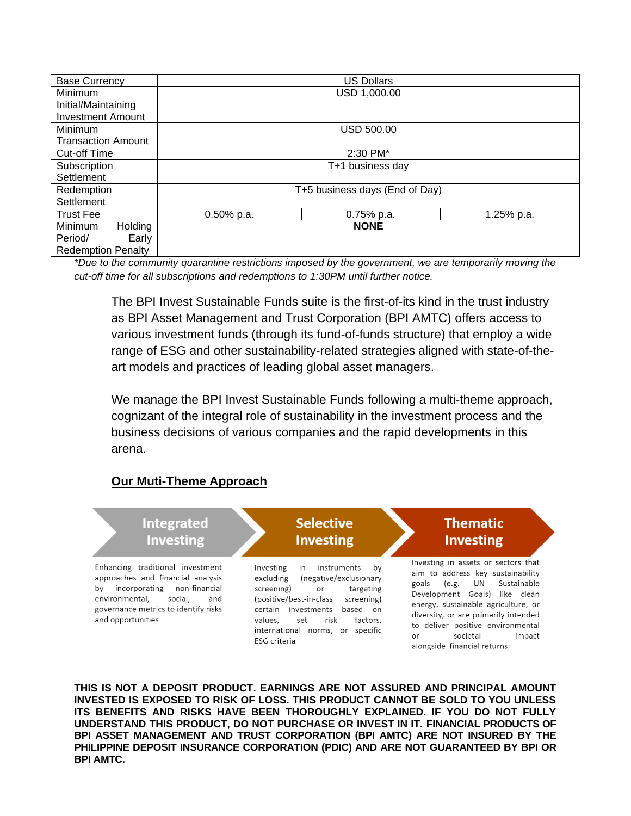| <b>Base Currency</b>      |                  | <b>US Dollars</b>              |            |  |
|---------------------------|------------------|--------------------------------|------------|--|
| Minimum                   |                  | USD 1,000.00                   |            |  |
| Initial/Maintaining       |                  |                                |            |  |
| <b>Investment Amount</b>  |                  |                                |            |  |
| Minimum                   |                  | <b>USD 500.00</b>              |            |  |
| <b>Transaction Amount</b> |                  |                                |            |  |
| <b>Cut-off Time</b>       | $2:30$ PM $*$    |                                |            |  |
| Subscription              | T+1 business day |                                |            |  |
| Settlement                |                  |                                |            |  |
| Redemption                |                  | T+5 business days (End of Day) |            |  |
| Settlement                |                  |                                |            |  |
| <b>Trust Fee</b>          | $0.50\%$ p.a.    | $0.75%$ p.a.                   | 1.25% p.a. |  |
| Holding<br><b>Minimum</b> |                  | <b>NONE</b>                    |            |  |
| Period/<br>Early          |                  |                                |            |  |
| <b>Redemption Penalty</b> |                  |                                |            |  |

*\*Due to the community quarantine restrictions imposed by the government, we are temporarily moving the cut-off time for all subscriptions and redemptions to 1:30PM until further notice.*

The BPI Invest Sustainable Funds suite is the first-of-its kind in the trust industry as BPI Asset Management and Trust Corporation (BPI AMTC) offers access to various investment funds (through its fund-of-funds structure) that employ a wide range of ESG and other sustainability-related strategies aligned with state-of-theart models and practices of leading global asset managers.

We manage the BPI Invest Sustainable Funds following a multi-theme approach, cognizant of the integral role of sustainability in the investment process and the business decisions of various companies and the rapid developments in this arena.

#### **Our Muti-Theme Approach**

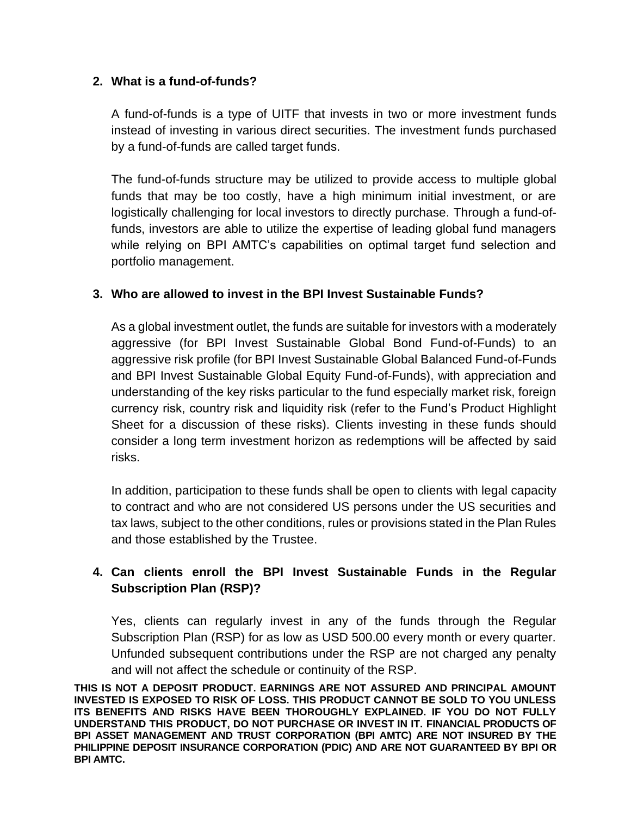## **2. What is a fund-of-funds?**

A fund-of-funds is a type of UITF that invests in two or more investment funds instead of investing in various direct securities. The investment funds purchased by a fund-of-funds are called target funds.

The fund-of-funds structure may be utilized to provide access to multiple global funds that may be too costly, have a high minimum initial investment, or are logistically challenging for local investors to directly purchase. Through a fund-offunds, investors are able to utilize the expertise of leading global fund managers while relying on BPI AMTC's capabilities on optimal target fund selection and portfolio management.

## **3. Who are allowed to invest in the BPI Invest Sustainable Funds?**

As a global investment outlet, the funds are suitable for investors with a moderately aggressive (for BPI Invest Sustainable Global Bond Fund-of-Funds) to an aggressive risk profile (for BPI Invest Sustainable Global Balanced Fund-of-Funds and BPI Invest Sustainable Global Equity Fund-of-Funds), with appreciation and understanding of the key risks particular to the fund especially market risk, foreign currency risk, country risk and liquidity risk (refer to the Fund's Product Highlight Sheet for a discussion of these risks). Clients investing in these funds should consider a long term investment horizon as redemptions will be affected by said risks.

In addition, participation to these funds shall be open to clients with legal capacity to contract and who are not considered US persons under the US securities and tax laws, subject to the other conditions, rules or provisions stated in the Plan Rules and those established by the Trustee.

# **4. Can clients enroll the BPI Invest Sustainable Funds in the Regular Subscription Plan (RSP)?**

Yes, clients can regularly invest in any of the funds through the Regular Subscription Plan (RSP) for as low as USD 500.00 every month or every quarter. Unfunded subsequent contributions under the RSP are not charged any penalty and will not affect the schedule or continuity of the RSP.

**THIS IS NOT A DEPOSIT PRODUCT. EARNINGS ARE NOT ASSURED AND PRINCIPAL AMOUNT INVESTED IS EXPOSED TO RISK OF LOSS. THIS PRODUCT CANNOT BE SOLD TO YOU UNLESS ITS BENEFITS AND RISKS HAVE BEEN THOROUGHLY EXPLAINED. IF YOU DO NOT FULLY UNDERSTAND THIS PRODUCT, DO NOT PURCHASE OR INVEST IN IT. FINANCIAL PRODUCTS OF BPI ASSET MANAGEMENT AND TRUST CORPORATION (BPI AMTC) ARE NOT INSURED BY THE PHILIPPINE DEPOSIT INSURANCE CORPORATION (PDIC) AND ARE NOT GUARANTEED BY BPI OR BPI AMTC.**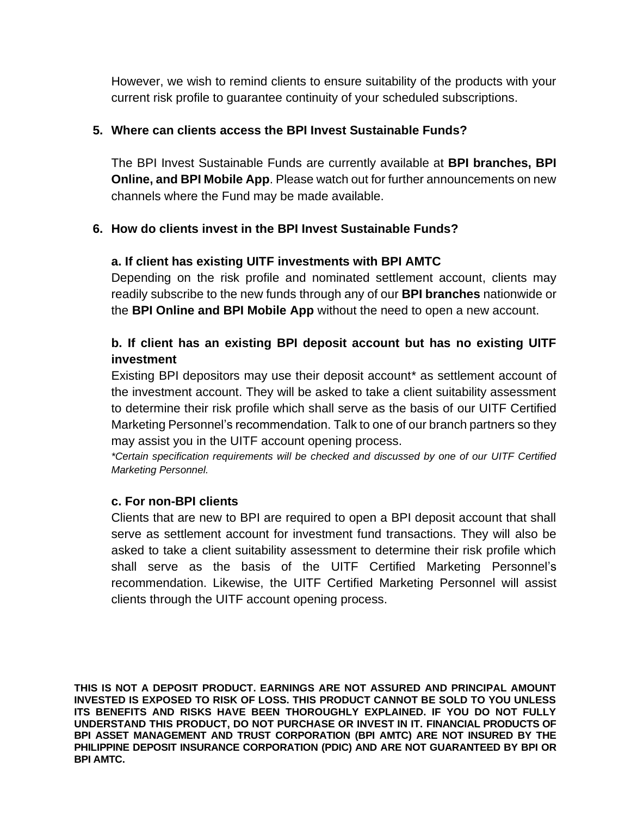However, we wish to remind clients to ensure suitability of the products with your current risk profile to guarantee continuity of your scheduled subscriptions.

## **5. Where can clients access the BPI Invest Sustainable Funds?**

The BPI Invest Sustainable Funds are currently available at **BPI branches, BPI Online, and BPI Mobile App**. Please watch out for further announcements on new channels where the Fund may be made available.

## **6. How do clients invest in the BPI Invest Sustainable Funds?**

## **a. If client has existing UITF investments with BPI AMTC**

Depending on the risk profile and nominated settlement account, clients may readily subscribe to the new funds through any of our **BPI branches** nationwide or the **BPI Online and BPI Mobile App** without the need to open a new account.

# **b. If client has an existing BPI deposit account but has no existing UITF investment**

Existing BPI depositors may use their deposit account\* as settlement account of the investment account. They will be asked to take a client suitability assessment to determine their risk profile which shall serve as the basis of our UITF Certified Marketing Personnel's recommendation. Talk to one of our branch partners so they may assist you in the UITF account opening process.

*\*Certain specification requirements will be checked and discussed by one of our UITF Certified Marketing Personnel.*

#### **c. For non-BPI clients**

Clients that are new to BPI are required to open a BPI deposit account that shall serve as settlement account for investment fund transactions. They will also be asked to take a client suitability assessment to determine their risk profile which shall serve as the basis of the UITF Certified Marketing Personnel's recommendation. Likewise, the UITF Certified Marketing Personnel will assist clients through the UITF account opening process.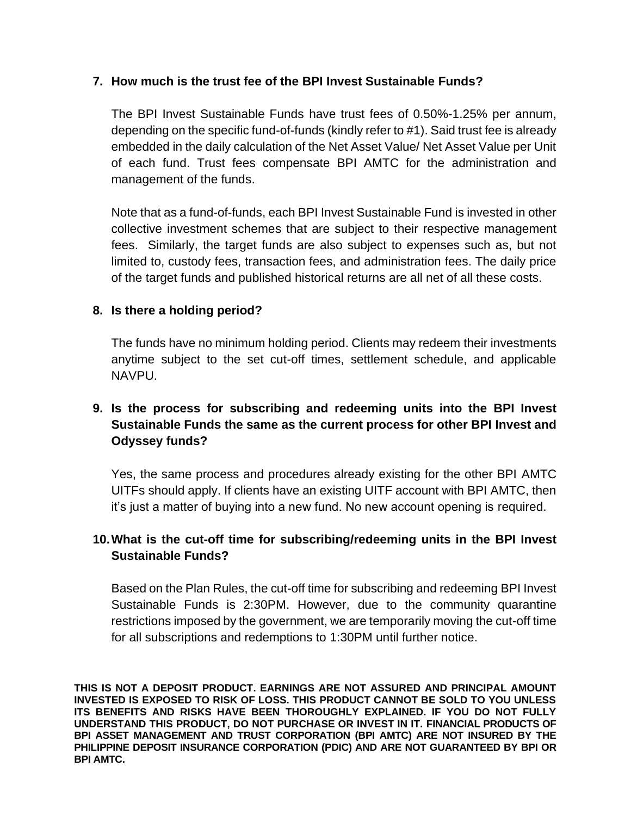## **7. How much is the trust fee of the BPI Invest Sustainable Funds?**

The BPI Invest Sustainable Funds have trust fees of 0.50%-1.25% per annum, depending on the specific fund-of-funds (kindly refer to #1). Said trust fee is already embedded in the daily calculation of the Net Asset Value/ Net Asset Value per Unit of each fund. Trust fees compensate BPI AMTC for the administration and management of the funds.

Note that as a fund-of-funds, each BPI Invest Sustainable Fund is invested in other collective investment schemes that are subject to their respective management fees. Similarly, the target funds are also subject to expenses such as, but not limited to, custody fees, transaction fees, and administration fees. The daily price of the target funds and published historical returns are all net of all these costs.

## **8. Is there a holding period?**

The funds have no minimum holding period. Clients may redeem their investments anytime subject to the set cut-off times, settlement schedule, and applicable NAVPU.

# **9. Is the process for subscribing and redeeming units into the BPI Invest Sustainable Funds the same as the current process for other BPI Invest and Odyssey funds?**

Yes, the same process and procedures already existing for the other BPI AMTC UITFs should apply. If clients have an existing UITF account with BPI AMTC, then it's just a matter of buying into a new fund. No new account opening is required.

# **10.What is the cut-off time for subscribing/redeeming units in the BPI Invest Sustainable Funds?**

Based on the Plan Rules, the cut-off time for subscribing and redeeming BPI Invest Sustainable Funds is 2:30PM. However, due to the community quarantine restrictions imposed by the government, we are temporarily moving the cut-off time for all subscriptions and redemptions to 1:30PM until further notice.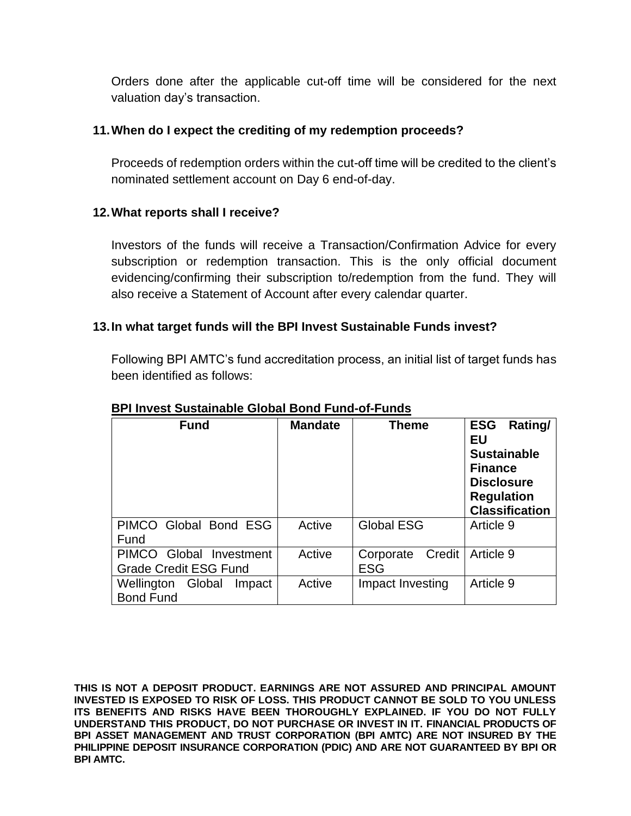Orders done after the applicable cut-off time will be considered for the next valuation day's transaction.

## **11.When do I expect the crediting of my redemption proceeds?**

Proceeds of redemption orders within the cut-off time will be credited to the client's nominated settlement account on Day 6 end-of-day.

# **12.What reports shall I receive?**

Investors of the funds will receive a Transaction/Confirmation Advice for every subscription or redemption transaction. This is the only official document evidencing/confirming their subscription to/redemption from the fund. They will also receive a Statement of Account after every calendar quarter.

# **13.In what target funds will the BPI Invest Sustainable Funds invest?**

Following BPI AMTC's fund accreditation process, an initial list of target funds has been identified as follows:

| <b>Fund</b>                                                       | <b>Mandate</b> | <b>Theme</b>                      | <b>ESG</b><br>Rating/<br>EU<br><b>Sustainable</b><br><b>Finance</b><br><b>Disclosure</b><br><b>Regulation</b><br><b>Classification</b> |
|-------------------------------------------------------------------|----------------|-----------------------------------|----------------------------------------------------------------------------------------------------------------------------------------|
| PIMCO Global Bond ESG<br>Fund                                     | Active         | <b>Global ESG</b>                 | Article 9                                                                                                                              |
| <b>PIMCO</b><br>Global Investment<br><b>Grade Credit ESG Fund</b> | Active         | Credit<br>Corporate<br><b>ESG</b> | Article 9                                                                                                                              |
| Global<br>Wellington<br>Impact<br><b>Bond Fund</b>                | Active         | Impact Investing                  | Article 9                                                                                                                              |

## **BPI Invest Sustainable Global Bond Fund-of-Funds**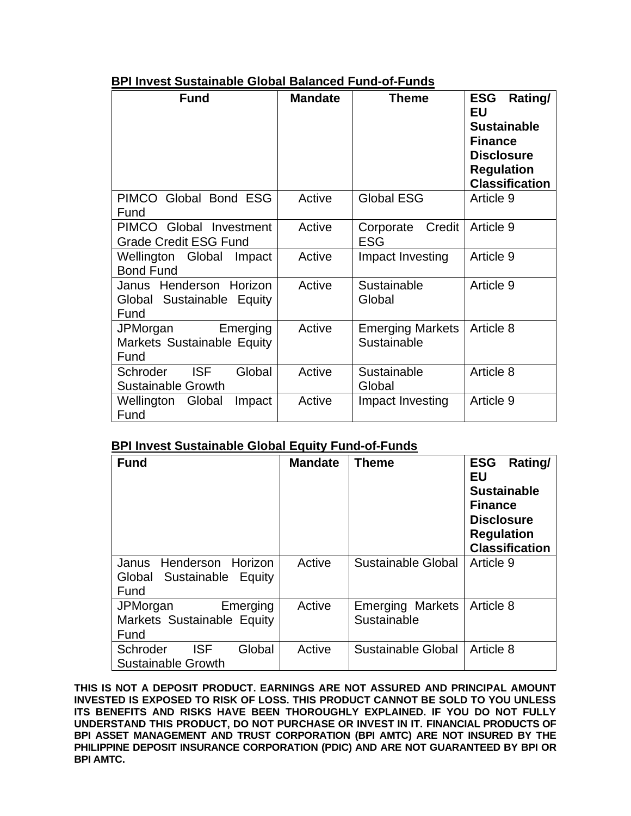|--|

| <b>Fund</b>                                                   | <b>Mandate</b> | <b>Theme</b>                           | Rating/<br><b>ESG</b><br>EU<br><b>Sustainable</b><br><b>Finance</b><br><b>Disclosure</b><br><b>Regulation</b><br><b>Classification</b> |
|---------------------------------------------------------------|----------------|----------------------------------------|----------------------------------------------------------------------------------------------------------------------------------------|
| PIMCO Global Bond ESG<br>Fund                                 | Active         | <b>Global ESG</b>                      | Article 9                                                                                                                              |
| PIMCO Global Investment<br><b>Grade Credit ESG Fund</b>       | Active         | Credit<br>Corporate<br>ESG             | Article 9                                                                                                                              |
| Wellington Global<br>Impact<br><b>Bond Fund</b>               | Active         | Impact Investing                       | Article 9                                                                                                                              |
| Janus Henderson Horizon<br>Global Sustainable Equity<br>Fund  | Active         | Sustainable<br>Global                  | Article 9                                                                                                                              |
| JPMorgan<br>Emerging<br>Markets Sustainable Equity<br>Fund    | Active         | <b>Emerging Markets</b><br>Sustainable | Article 8                                                                                                                              |
| Global<br><b>ISF</b><br>Schroder<br><b>Sustainable Growth</b> | Active         | Sustainable<br>Global                  | Article 8                                                                                                                              |
| Wellington<br>Global<br>Impact<br>Fund                        | Active         | Impact Investing                       | Article 9                                                                                                                              |

#### **BPI Invest Sustainable Global Equity Fund-of-Funds**

| <b>Fund</b>                                                              | <b>Mandate</b> | <b>Theme</b>                           | <b>ESG</b><br>Rating/<br>EU<br><b>Sustainable</b><br><b>Finance</b><br><b>Disclosure</b><br><b>Regulation</b><br><b>Classification</b> |
|--------------------------------------------------------------------------|----------------|----------------------------------------|----------------------------------------------------------------------------------------------------------------------------------------|
| Henderson<br>Horizon<br>Janus<br>Global<br>Sustainable<br>Equity<br>Fund | Active         | Sustainable Global                     | Article 9                                                                                                                              |
| JPMorgan<br>Emerging<br>Markets Sustainable Equity<br>Fund               | Active         | <b>Emerging Markets</b><br>Sustainable | Article 8                                                                                                                              |
| Schroder<br><b>ISF</b><br>Global<br><b>Sustainable Growth</b>            | Active         | Sustainable Global                     | Article 8                                                                                                                              |